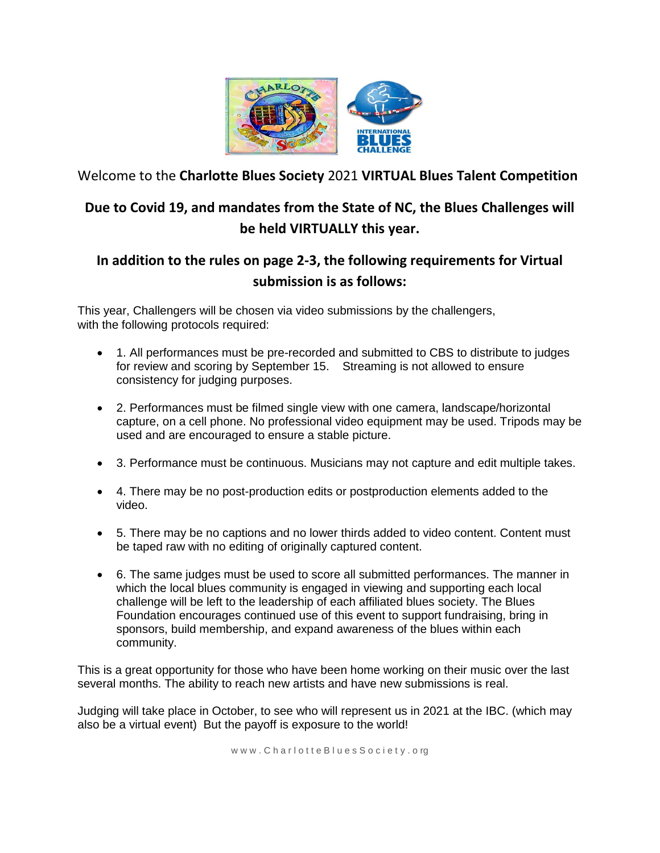

Welcome to the **Charlotte Blues Society** 2021 **VIRTUAL Blues Talent Competition**

# **Due to Covid 19, and mandates from the State of NC, the Blues Challenges will be held VIRTUALLY this year.**

# **In addition to the rules on page 2-3, the following requirements for Virtual submission is as follows:**

This year, Challengers will be chosen via video submissions by the challengers, with the following protocols required:

- 1. All performances must be pre-recorded and submitted to CBS to distribute to judges for review and scoring by September 15. Streaming is not allowed to ensure consistency for judging purposes.
- 2. Performances must be filmed single view with one camera, landscape/horizontal capture, on a cell phone. No professional video equipment may be used. Tripods may be used and are encouraged to ensure a stable picture.
- 3. Performance must be continuous. Musicians may not capture and edit multiple takes.
- 4. There may be no post-production edits or postproduction elements added to the video.
- 5. There may be no captions and no lower thirds added to video content. Content must be taped raw with no editing of originally captured content.
- 6. The same judges must be used to score all submitted performances. The manner in which the local blues community is engaged in viewing and supporting each local challenge will be left to the leadership of each affiliated blues society. The Blues Foundation encourages continued use of this event to support fundraising, bring in sponsors, build membership, and expand awareness of the blues within each community.

This is a great opportunity for those who have been home working on their music over the last several months. The ability to reach new artists and have new submissions is real.

Judging will take place in October, to see who will represent us in 2021 at the IBC. (which may also be a virtual event) But the payoff is exposure to the world!

www.CharlotteBluesSociety.org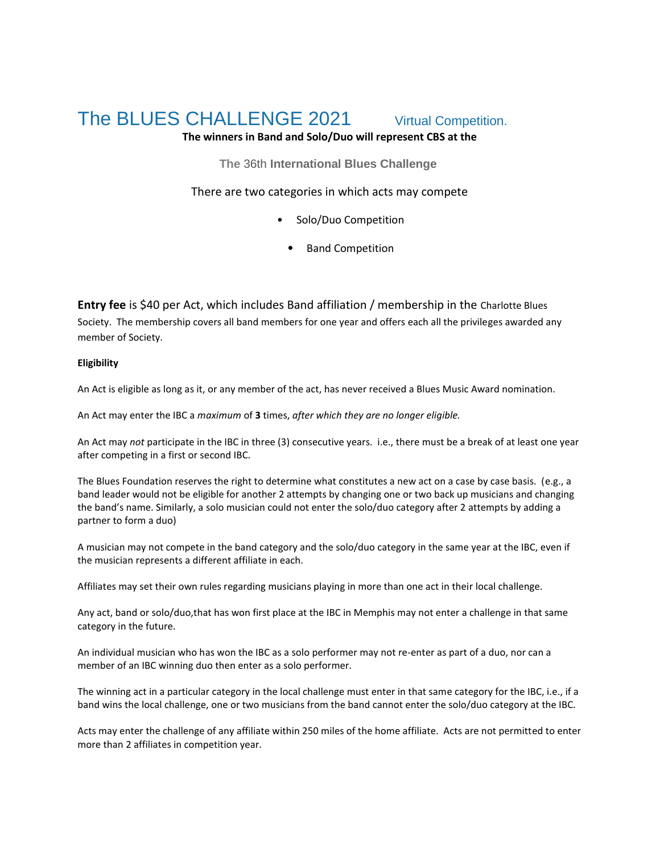# The BLUES CHALLENGE 2021 Virtual Competition.

## **The winners in Band and Solo/Duo will represent CBS at the**

**The** 36th **International Blues Challenge**

There are two categories in which acts may compete

- Solo/Duo Competition
	- Band Competition

**Entry fee** is \$40 per Act, which includes Band affiliation / membership in the Charlotte Blues Society. The membership covers all band members for one year and offers each all the privileges awarded any member of Society.

#### **Eligibility**

An Act is eligible as long as it, or any member of the act, has never received a Blues Music Award nomination.

An Act may enter the IBC a *maximum* of **3** times, *after which they are no longer eligible.*

An Act may *not* participate in the IBC in three (3) consecutive years. i.e., there must be a break of at least one year after competing in a first or second IBC.

The Blues Foundation reserves the right to determine what constitutes a new act on a case by case basis. (e.g., a band leader would not be eligible for another 2 attempts by changing one or two back up musicians and changing the band's name. Similarly, a solo musician could not enter the solo/duo category after 2 attempts by adding a partner to form a duo)

A musician may not compete in the band category and the solo/duo category in the same year at the IBC, even if the musician represents a different affiliate in each.

Affiliates may set their own rules regarding musicians playing in more than one act in their local challenge.

Any act, band or solo/duo,that has won first place at the IBC in Memphis may not enter a challenge in that same category in the future.

An individual musician who has won the IBC as a solo performer may not re-enter as part of a duo, nor can a member of an IBC winning duo then enter as a solo performer.

The winning act in a particular category in the local challenge must enter in that same category for the IBC, i.e., if a band wins the local challenge, one or two musicians from the band cannot enter the solo/duo category at the IBC.

Acts may enter the challenge of any affiliate within 250 miles of the home affiliate. Acts are not permitted to enter more than 2 affiliates in competition year.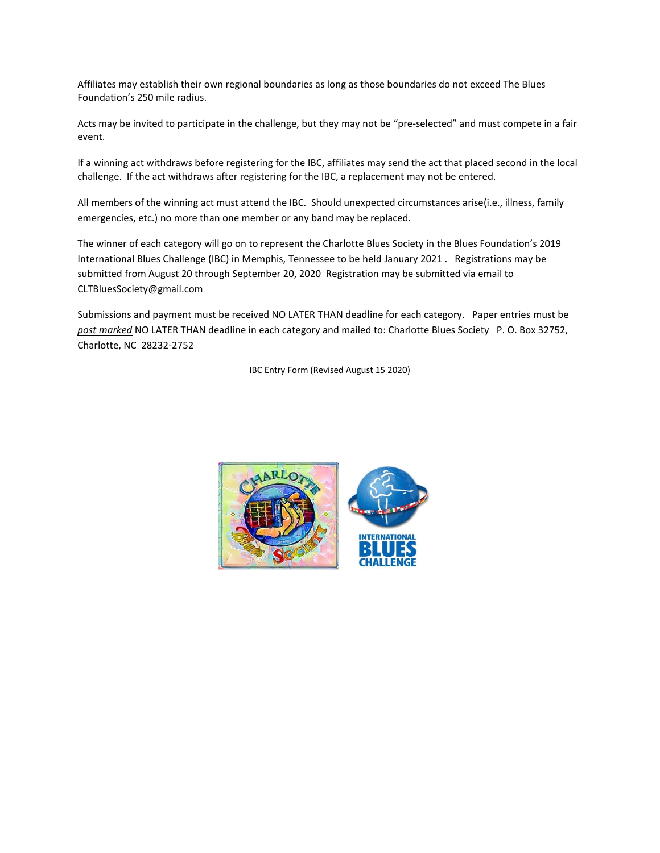Affiliates may establish their own regional boundaries as long as those boundaries do not exceed The Blues Foundation's 250 mile radius.

Acts may be invited to participate in the challenge, but they may not be "pre-selected" and must compete in a fair event.

If a winning act withdraws before registering for the IBC, affiliates may send the act that placed second in the local challenge. If the act withdraws after registering for the IBC, a replacement may not be entered.

All members of the winning act must attend the IBC. Should unexpected circumstances arise(i.e., illness, family emergencies, etc.) no more than one member or any band may be replaced.

The winner of each category will go on to represent the Charlotte Blues Society in the Blues Foundation's 2019 International Blues Challenge (IBC) in Memphis, Tennessee to be held January 2021 . Registrations may be submitted from August 20 through September 20, 2020 Registration may be submitted via email to CLTBluesSociety@gmail.com

Submissions and payment must be received NO LATER THAN deadline for each category. Paper entries must be *post marked* NO LATER THAN deadline in each category and mailed to: Charlotte Blues Society P. O. Box 32752, Charlotte, NC 28232-2752

IBC Entry Form (Revised August 15 2020)

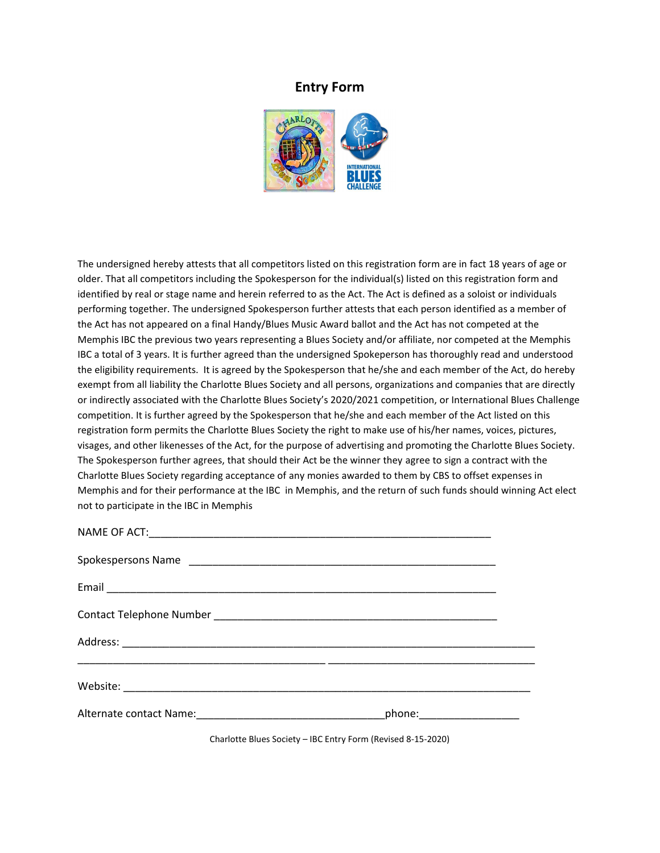#### **Entry Form**



The undersigned hereby attests that all competitors listed on this registration form are in fact 18 years of age or older. That all competitors including the Spokesperson for the individual(s) listed on this registration form and identified by real or stage name and herein referred to as the Act. The Act is defined as a soloist or individuals performing together. The undersigned Spokesperson further attests that each person identified as a member of the Act has not appeared on a final Handy/Blues Music Award ballot and the Act has not competed at the Memphis IBC the previous two years representing a Blues Society and/or affiliate, nor competed at the Memphis IBC a total of 3 years. It is further agreed than the undersigned Spokeperson has thoroughly read and understood the eligibility requirements. It is agreed by the Spokesperson that he/she and each member of the Act, do hereby exempt from all liability the Charlotte Blues Society and all persons, organizations and companies that are directly or indirectly associated with the Charlotte Blues Society's 2020/2021 competition, or International Blues Challenge competition. It is further agreed by the Spokesperson that he/she and each member of the Act listed on this registration form permits the Charlotte Blues Society the right to make use of his/her names, voices, pictures, visages, and other likenesses of the Act, for the purpose of advertising and promoting the Charlotte Blues Society. The Spokesperson further agrees, that should their Act be the winner they agree to sign a contract with the Charlotte Blues Society regarding acceptance of any monies awarded to them by CBS to offset expenses in Memphis and for their performance at the IBC in Memphis, and the return of such funds should winning Act elect not to participate in the IBC in Memphis

| <u> 1990 - John Stone, Amerikaansk politiker (* 1900)</u> |  |
|-----------------------------------------------------------|--|
|                                                           |  |
| phone:____________________                                |  |

Charlotte Blues Society – IBC Entry Form (Revised 8-15-2020)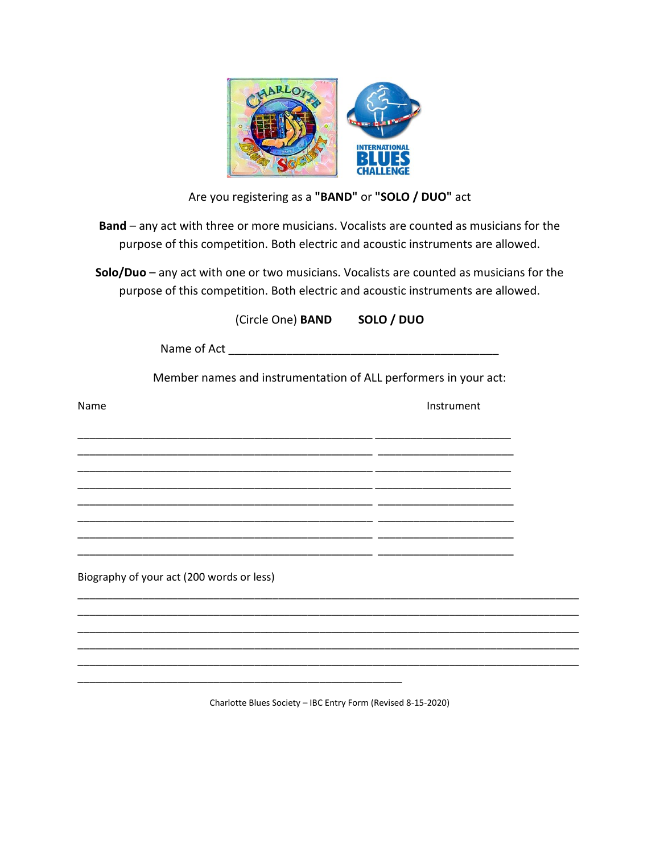

# Are you registering as a **"BAND"** or **"SOLO / DUO"** act

**Band** – any act with three or more musicians. Vocalists are counted as musicians for the purpose of this competition. Both electric and acoustic instruments are allowed.

**Solo/Duo** – any act with one or two musicians. Vocalists are counted as musicians for the purpose of this competition. Both electric and acoustic instruments are allowed.

|      |                                           | (Circle One) BAND SOLO / DUO |                                                                 |
|------|-------------------------------------------|------------------------------|-----------------------------------------------------------------|
|      |                                           |                              |                                                                 |
|      |                                           |                              | Member names and instrumentation of ALL performers in your act: |
| Name |                                           |                              | Instrument                                                      |
|      |                                           |                              |                                                                 |
|      |                                           |                              |                                                                 |
|      |                                           |                              |                                                                 |
|      |                                           |                              |                                                                 |
|      |                                           |                              |                                                                 |
|      | Biography of your act (200 words or less) |                              |                                                                 |
|      |                                           |                              | <u> 1980 - Johann Stoff, amerikansk politik (d. 1980)</u>       |
|      |                                           |                              |                                                                 |
|      |                                           |                              |                                                                 |
|      |                                           |                              |                                                                 |

Charlotte Blues Society – IBC Entry Form (Revised 8-15-2020)

\_\_\_\_\_\_\_\_\_\_\_\_\_\_\_\_\_\_\_\_\_\_\_\_\_\_\_\_\_\_\_\_\_\_\_\_\_\_\_\_\_\_\_\_\_\_\_\_\_\_\_\_\_\_\_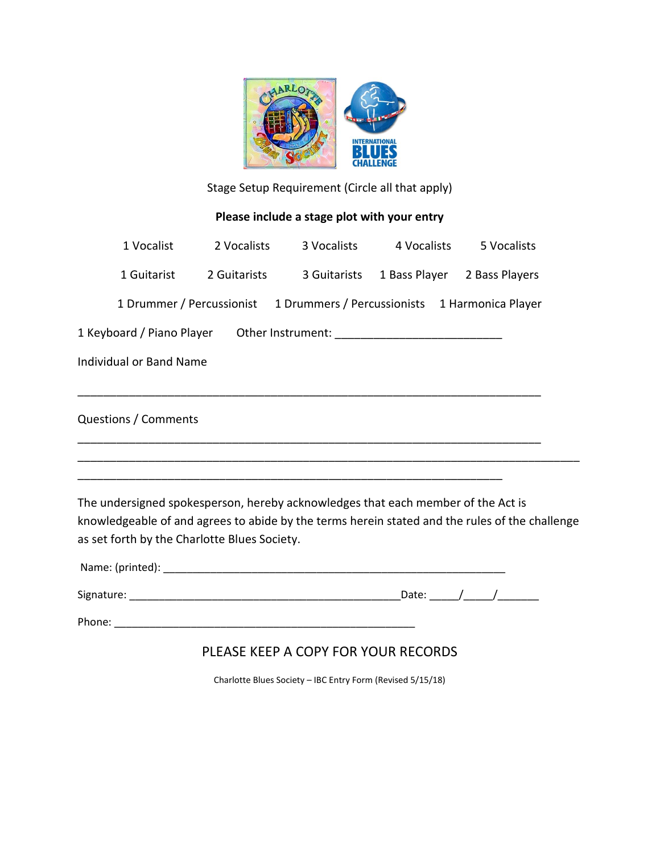

Stage Setup Requirement (Circle all that apply)

### **Please include a stage plot with your entry**

| 1 Vocalist                                                                                                                                     | 2 Vocalists                                                              | 3 Vocalists | 4 Vocalists                               | 5 Vocalists |  |
|------------------------------------------------------------------------------------------------------------------------------------------------|--------------------------------------------------------------------------|-------------|-------------------------------------------|-------------|--|
| 1 Guitarist                                                                                                                                    | 2 Guitarists                                                             |             | 3 Guitarists 1 Bass Player 2 Bass Players |             |  |
|                                                                                                                                                | 1 Drummer / Percussionist 1 Drummers / Percussionists 1 Harmonica Player |             |                                           |             |  |
|                                                                                                                                                |                                                                          |             |                                           |             |  |
| <b>Individual or Band Name</b>                                                                                                                 |                                                                          |             |                                           |             |  |
|                                                                                                                                                |                                                                          |             |                                           |             |  |
| <b>Questions / Comments</b>                                                                                                                    |                                                                          |             |                                           |             |  |
|                                                                                                                                                |                                                                          |             |                                           |             |  |
|                                                                                                                                                |                                                                          |             |                                           |             |  |
| The undersigned spokesperson, hereby acknowledges that each member of the Act is                                                               |                                                                          |             |                                           |             |  |
| knowledgeable of and agrees to abide by the terms herein stated and the rules of the challenge<br>as set forth by the Charlotte Blues Society. |                                                                          |             |                                           |             |  |
| Name: (printed): _                                                                                                                             |                                                                          |             |                                           |             |  |

| Signature: | . . |  |
|------------|-----|--|

Phone: \_\_\_\_\_\_\_\_\_\_\_\_\_\_\_\_\_\_\_\_\_\_\_\_\_\_\_\_\_\_\_\_\_\_\_\_\_\_\_\_\_\_\_\_\_\_\_\_\_\_\_

## PLEASE KEEP A COPY FOR YOUR RECORDS

Charlotte Blues Society – IBC Entry Form (Revised 5/15/18)